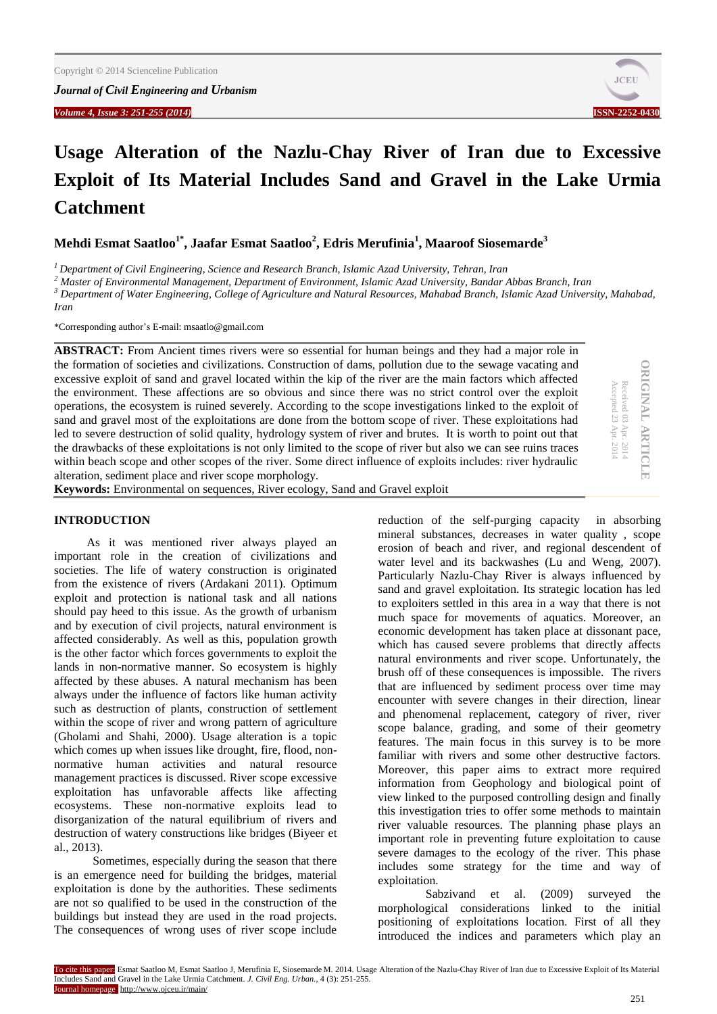

# **Usage Alteration of the Nazlu-Chay River of Iran due to Excessive Exploit of Its Material Includes Sand and Gravel in the Lake Urmia Catchment**

**Mehdi Esmat Saatloo1\*, Jaafar Esmat Saatloo<sup>2</sup> , Edris Merufinia<sup>1</sup> , Maaroof Siosemarde<sup>3</sup>**

*<sup>1</sup> Department of Civil Engineering, Science and Research Branch, Islamic Azad University, Tehran, Iran*

*<sup>2</sup> Master of Environmental Management, Department of Environment, Islamic Azad University, Bandar Abbas Branch, Iran*

*<sup>3</sup> Department of Water Engineering, College of Agriculture and Natural Resources, Mahabad Branch, Islamic Azad University, Mahabad, Iran*

\*Corresponding author's E-mail: msaatlo@gmail.com

**ABSTRACT:** From Ancient times rivers were so essential for human beings and they had a major role in the formation of societies and civilizations. Construction of dams, pollution due to the sewage vacating and excessive exploit of sand and gravel located within the kip of the river are the main factors which affected the environment. These affections are so obvious and since there was no strict control over the exploit operations, the ecosystem is ruined severely. According to the scope investigations linked to the exploit of sand and gravel most of the exploitations are done from the bottom scope of river. These exploitations had led to severe destruction of solid quality, hydrology system of river and brutes. It is worth to point out that the drawbacks of these exploitations is not only limited to the scope of river but also we can see ruins traces within beach scope and other scopes of the river. Some direct influence of exploits includes: river hydraulic alteration, sediment place and river scope morphology.

**Keywords:** Environmental on sequences, River ecology, Sand and Gravel exploit

# **ORIGINAL ARTICLE ORIGINAL ARTICLE**

Accepted 23 Apr. 2014 Received 03 Apr. 2014

 $-2014$  $.2014$ 

Accepted 23 Ap Received 03 Apr

# **INTRODUCTION**

As it was mentioned river always played an important role in the creation of civilizations and societies. The life of watery construction is originated from the existence of rivers (Ardakani 2011). Optimum exploit and protection is national task and all nations should pay heed to this issue. As the growth of urbanism and by execution of civil projects, natural environment is affected considerably. As well as this, population growth is the other factor which forces governments to exploit the lands in non-normative manner. So ecosystem is highly affected by these abuses. A natural mechanism has been always under the influence of factors like human activity such as destruction of plants, construction of settlement within the scope of river and wrong pattern of agriculture (Gholami and Shahi, 2000). Usage alteration is a topic which comes up when issues like drought, fire, flood, nonnormative human activities and natural resource management practices is discussed. River scope excessive exploitation has unfavorable affects like affecting ecosystems. These non-normative exploits lead to disorganization of the natural equilibrium of rivers and destruction of watery constructions like bridges (Biyeer et al., 2013).

 Sometimes, especially during the season that there is an emergence need for building the bridges, material exploitation is done by the authorities. These sediments are not so qualified to be used in the construction of the buildings but instead they are used in the road projects. The consequences of wrong uses of river scope include

reduction of the self-purging capacity in absorbing mineral substances, decreases in water quality , scope erosion of beach and river, and regional descendent of water level and its backwashes (Lu and Weng, 2007). Particularly Nazlu-Chay River is always influenced by sand and gravel exploitation. Its strategic location has led to exploiters settled in this area in a way that there is not much space for movements of aquatics. Moreover, an economic development has taken place at dissonant pace, which has caused severe problems that directly affects natural environments and river scope. Unfortunately, the brush off of these consequences is impossible. The rivers that are influenced by sediment process over time may encounter with severe changes in their direction, linear and phenomenal replacement, category of river, river scope balance, grading, and some of their geometry features. The main focus in this survey is to be more familiar with rivers and some other destructive factors. Moreover, this paper aims to extract more required information from Geophology and biological point of view linked to the purposed controlling design and finally this investigation tries to offer some methods to maintain river valuable resources. The planning phase plays an important role in preventing future exploitation to cause severe damages to the ecology of the river. This phase includes some strategy for the time and way of exploitation.

Sabzivand et al. (2009) surveyed the morphological considerations linked to the initial positioning of exploitations location. First of all they introduced the indices and parameters which play an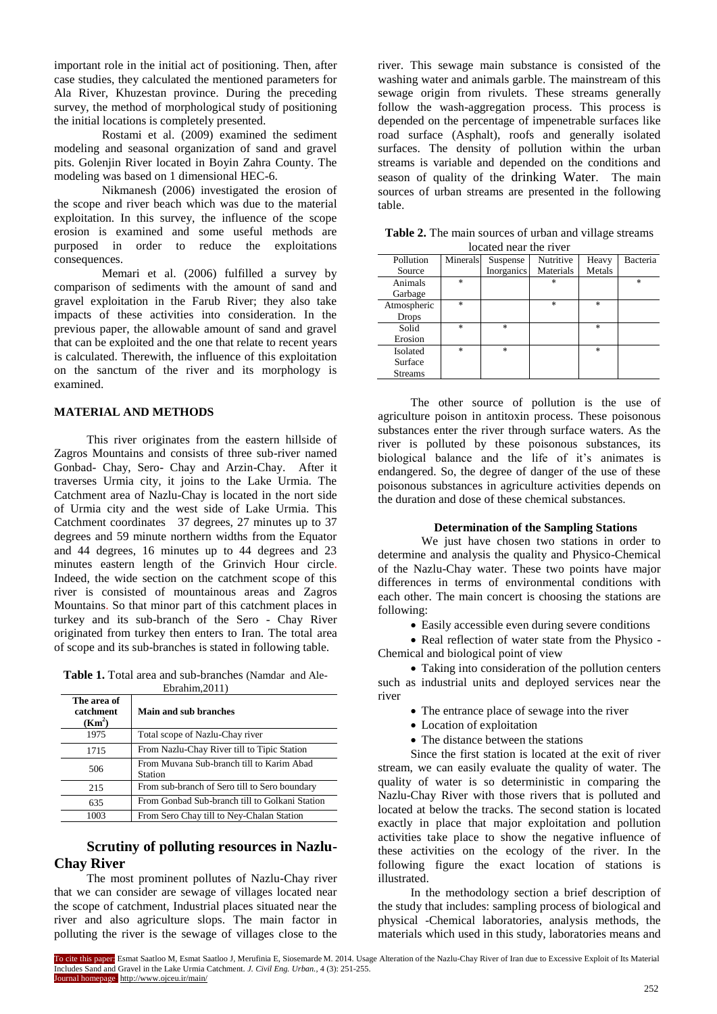important role in the initial act of positioning. Then, after case studies, they calculated the mentioned parameters for Ala River, Khuzestan province. During the preceding survey, the method of morphological study of positioning the initial locations is completely presented.

Rostami et al. (2009) examined the sediment modeling and seasonal organization of sand and gravel pits. Golenjin River located in Boyin Zahra County. The modeling was based on 1 dimensional HEC-6.

 Nikmanesh (2006) investigated the erosion of the scope and river beach which was due to the material exploitation. In this survey, the influence of the scope erosion is examined and some useful methods are purposed in order to reduce the exploitations consequences.

 Memari et al. (2006) fulfilled a survey by comparison of sediments with the amount of sand and gravel exploitation in the Farub River; they also take impacts of these activities into consideration. In the previous paper, the allowable amount of sand and gravel that can be exploited and the one that relate to recent years is calculated. Therewith, the influence of this exploitation on the sanctum of the river and its morphology is examined.

# **MATERIAL AND METHODS**

This river originates from the eastern hillside of Zagros Mountains and consists of three sub-river named Gonbad- Chay, Sero- Chay and Arzin-Chay. After it traverses Urmia city, it joins to the Lake Urmia. The Catchment area of Nazlu-Chay is located in the nort side of Urmia city and the west side of Lake Urmia. This Catchment coordinates 37 degrees, 27 minutes up to 37 degrees and 59 minute northern widths from the Equator and 44 degrees, 16 minutes up to 44 degrees and 23 minutes eastern length of the Grinvich Hour circle. Indeed, the wide section on the catchment scope of this river is consisted of mountainous areas and Zagros Mountains. So that minor part of this catchment places in turkey and its sub-branch of the Sero - Chay River originated from turkey then enters to Iran. The total area of scope and its sub-branches is stated in following table.

**Table 1.** Total area and sub-branches (Namdar and Ale-Ebrahim,2011)

| The area of<br>catchment<br>(Km <sup>2</sup> ) | Main and sub branches                                |
|------------------------------------------------|------------------------------------------------------|
| 1975                                           | Total scope of Nazlu-Chay river                      |
| 1715                                           | From Nazlu-Chay River till to Tipic Station          |
| 506                                            | From Muvana Sub-branch till to Karim Abad<br>Station |
| 215                                            | From sub-branch of Sero till to Sero boundary        |
| 635                                            | From Gonbad Sub-branch till to Golkani Station       |
| 1003                                           | From Sero Chay till to Ney-Chalan Station            |

# **Scrutiny of polluting resources in Nazlu-Chay River**

The most prominent pollutes of Nazlu-Chay river that we can consider are sewage of villages located near the scope of catchment, Industrial places situated near the river and also agriculture slops. The main factor in polluting the river is the sewage of villages close to the

river. This sewage main substance is consisted of the washing water and animals garble. The mainstream of this sewage origin from rivulets. These streams generally follow the wash-aggregation process. This process is depended on the percentage of impenetrable surfaces like road surface (Asphalt), roofs and generally isolated surfaces. The density of pollution within the urban streams is variable and depended on the conditions and season of quality of the drinking Water. The main sources of urban streams are presented in the following table.

| focated near the river |          |            |           |        |          |  |  |  |
|------------------------|----------|------------|-----------|--------|----------|--|--|--|
| Pollution              | Minerals | Suspense   | Nutritive | Heavy  | Bacteria |  |  |  |
| Source                 |          | Inorganics | Materials | Metals |          |  |  |  |
| Animals                | $\ast$   |            | $\ast$    |        | $\ast$   |  |  |  |
| Garbage                |          |            |           |        |          |  |  |  |
| Atmospheric            | $\ast$   |            | $\ast$    | *      |          |  |  |  |
| <b>Drops</b>           |          |            |           |        |          |  |  |  |
| Solid                  | $\ast$   | $\ast$     |           | *      |          |  |  |  |
| Erosion                |          |            |           |        |          |  |  |  |
| Isolated               | $\ast$   | $\ast$     |           | $\ast$ |          |  |  |  |
| Surface                |          |            |           |        |          |  |  |  |
| <b>Streams</b>         |          |            |           |        |          |  |  |  |

**Table 2.** The main sources of urban and village streams located near the river

The other source of pollution is the use of agriculture poison in antitoxin process. These poisonous substances enter the river through surface waters. As the river is polluted by these poisonous substances, its biological balance and the life of it's animates is endangered. So, the degree of danger of the use of these poisonous substances in agriculture activities depends on the duration and dose of these chemical substances.

## **Determination of the Sampling Stations**

We just have chosen two stations in order to determine and analysis the quality and Physico-Chemical of the Nazlu-Chay water. These two points have major differences in terms of environmental conditions with each other. The main concert is choosing the stations are following:

Easily accessible even during severe conditions

• Real reflection of water state from the Physico -Chemical and biological point of view

 Taking into consideration of the pollution centers such as industrial units and deployed services near the river

- The entrance place of sewage into the river
- Location of exploitation
- The distance between the stations

Since the first station is located at the exit of river stream, we can easily evaluate the quality of water. The quality of water is so deterministic in comparing the Nazlu-Chay River with those rivers that is polluted and located at below the tracks. The second station is located exactly in place that major exploitation and pollution activities take place to show the negative influence of these activities on the ecology of the river. In the following figure the exact location of stations is illustrated.

In the methodology section a brief description of the study that includes: sampling process of biological and physical -Chemical laboratories, analysis methods, the materials which used in this study, laboratories means and

To cite this paper: Esmat Saatloo M, Esmat Saatloo J, Merufinia E, Siosemarde M. 2014. Usage Alteration of the Nazlu-Chay River of Iran due to Excessive Exploit of Its Material Includes Sand and Gravel in the Lake Urmia Catchment. *J. Civil Eng. Urban.,* 4 (3): 251-255. Journal homepage: http://www.ojceu.ir/main/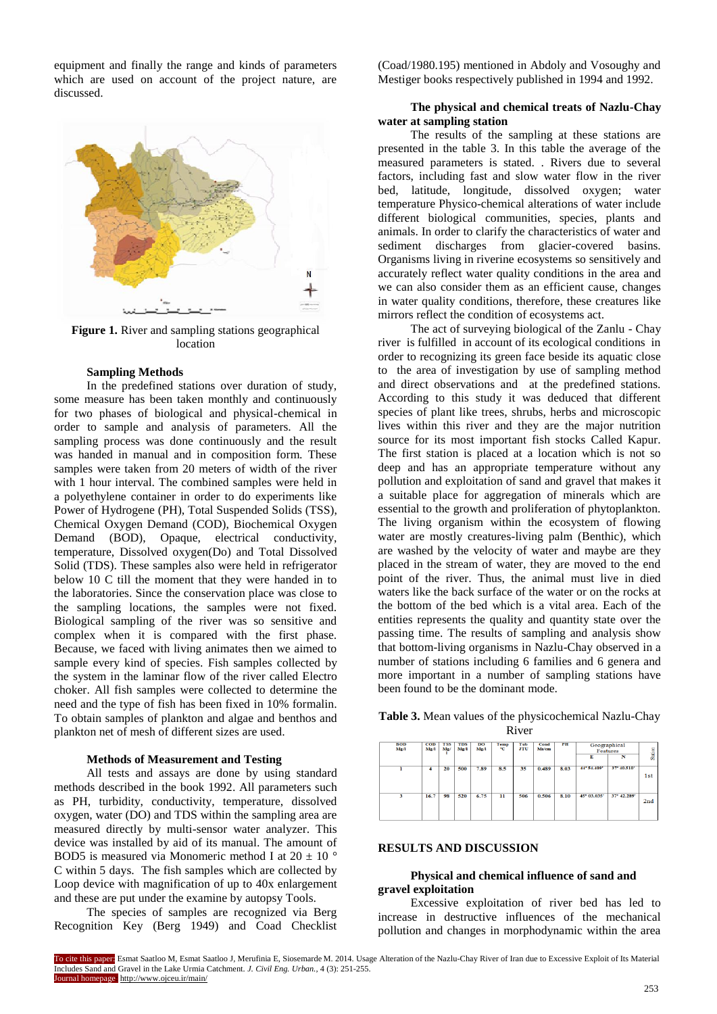equipment and finally the range and kinds of parameters which are used on account of the project nature, are discussed.



**Figure 1.** River and sampling stations geographical location

#### **Sampling Methods**

In the predefined stations over duration of study, some measure has been taken monthly and continuously for two phases of biological and physical-chemical in order to sample and analysis of parameters. All the sampling process was done continuously and the result was handed in manual and in composition form. These samples were taken from 20 meters of width of the river with 1 hour interval. The combined samples were held in a polyethylene container in order to do experiments like Power of Hydrogene (PH), Total Suspended Solids (TSS), Chemical Oxygen Demand (COD), Biochemical Oxygen Demand (BOD), Opaque, electrical conductivity, temperature, Dissolved oxygen(Do) and Total Dissolved Solid (TDS). These samples also were held in refrigerator below 10 C till the moment that they were handed in to the laboratories. Since the conservation place was close to the sampling locations, the samples were not fixed. Biological sampling of the river was so sensitive and complex when it is compared with the first phase. Because, we faced with living animates then we aimed to sample every kind of species. Fish samples collected by the system in the laminar flow of the river called Electro choker. All fish samples were collected to determine the need and the type of fish has been fixed in 10% formalin. To obtain samples of plankton and algae and benthos and plankton net of mesh of different sizes are used.

#### **Methods of Measurement and Testing**

All tests and assays are done by using standard methods described in the book 1992. All parameters such as PH, turbidity, conductivity, temperature, dissolved oxygen, water (DO) and TDS within the sampling area are measured directly by multi-sensor water analyzer. This device was installed by aid of its manual. The amount of BOD5 is measured via Monomeric method I at 20  $\pm$  10  $^{\circ}$ C within 5 days. The fish samples which are collected by Loop device with magnification of up to 40x enlargement and these are put under the examine by autopsy Tools.

The species of samples are recognized via Berg Recognition Key (Berg 1949) and Coad Checklist (Coad/1980.195) mentioned in Abdoly and Vosoughy and Mestiger books respectively published in 1994 and 1992.

# **The physical and chemical treats of Nazlu-Chay water at sampling station**

The results of the sampling at these stations are presented in the table 3. In this table the average of the measured parameters is stated. . Rivers due to several factors, including fast and slow water flow in the river bed, latitude, longitude, dissolved oxygen; water temperature Physico-chemical alterations of water include different biological communities, species, plants and animals. In order to clarify the characteristics of water and sediment discharges from glacier-covered basins. Organisms living in riverine ecosystems so sensitively and accurately reflect water quality conditions in the area and we can also consider them as an efficient cause, changes in water quality conditions, therefore, these creatures like mirrors reflect the condition of ecosystems act.

The act of surveying biological of the Zanlu - Chay river is fulfilled in account of its ecological conditions in order to recognizing its green face beside its aquatic close to the area of investigation by use of sampling method and direct observations and at the predefined stations. According to this study it was deduced that different species of plant like trees, shrubs, herbs and microscopic lives within this river and they are the major nutrition source for its most important fish stocks Called Kapur. The first station is placed at a location which is not so deep and has an appropriate temperature without any pollution and exploitation of sand and gravel that makes it a suitable place for aggregation of minerals which are essential to the growth and proliferation of phytoplankton. The living organism within the ecosystem of flowing water are mostly creatures-living palm (Benthic), which are washed by the velocity of water and maybe are they placed in the stream of water, they are moved to the end point of the river. Thus, the animal must live in died waters like the back surface of the water or on the rocks at the bottom of the bed which is a vital area. Each of the entities represents the quality and quantity state over the passing time. The results of sampling and analysis show that bottom-living organisms in Nazlu-Chay observed in a number of stations including 6 families and 6 genera and more important in a number of sampling stations have been found to be the dominant mode.

| <b>BOD</b><br>Mg/l | $_{\rm{COD}}$<br>Mg/l | <b>TSS</b><br>Mg/ | <b>TDS</b><br>Mg/l | DO<br>Mg/l | Temp<br>۰c | Tub<br><b>JTU</b> | Cond<br>Ms/cm | <b>PH</b> | Geographical<br><b>Features</b><br>N<br>E |             | Station |
|--------------------|-----------------------|-------------------|--------------------|------------|------------|-------------------|---------------|-----------|-------------------------------------------|-------------|---------|
|                    | 4                     | 20                | 500                | 7.89       | 8.5        | 35                | 0.489         | 8.03      | 44° 54,409'                               | 37° 40.510' | 1st     |
| 3                  | 16.7                  | 98                | 520                | 6.75       | n          | 506               | 0.506         | 8.10      | 45° 03.035'                               | 37° 42.289' | 2nd     |

**Table 3.** Mean values of the physicochemical Nazlu-Chay River

#### **RESULTS AND DISCUSSION**

# **Physical and chemical influence of sand and gravel exploitation**

Excessive exploitation of river bed has led to increase in destructive influences of the mechanical pollution and changes in morphodynamic within the area

To cite this paper: Esmat Saatloo M, Esmat Saatloo J, Merufinia E, Siosemarde M. 2014. Usage Alteration of the Nazlu-Chay River of Iran due to Excessive Exploit of Its Material Includes Sand and Gravel in the Lake Urmia Catchment. *J. Civil Eng. Urban.,* 4 (3): 251-255. Journal homepage: http://www.ojceu.ir/main/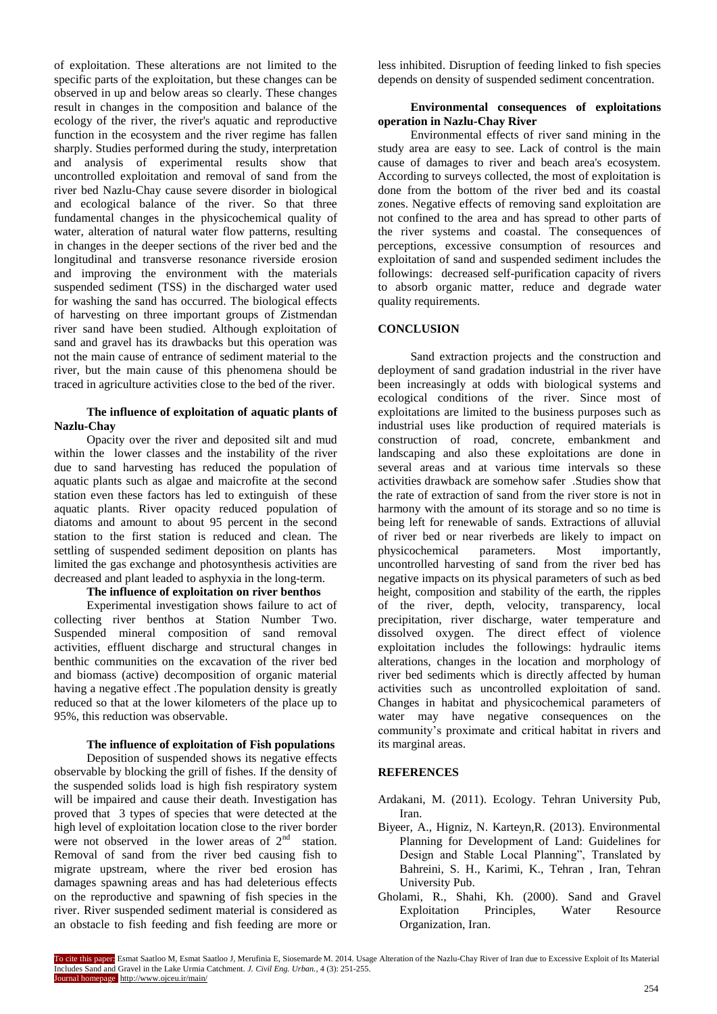of exploitation. These alterations are not limited to the specific parts of the exploitation, but these changes can be observed in up and below areas so clearly. These changes result in changes in the composition and balance of the ecology of the river, the river's aquatic and reproductive function in the ecosystem and the river regime has fallen sharply. Studies performed during the study, interpretation and analysis of experimental results show that uncontrolled exploitation and removal of sand from the river bed Nazlu-Chay cause severe disorder in biological and ecological balance of the river. So that three fundamental changes in the physicochemical quality of water, alteration of natural water flow patterns, resulting in changes in the deeper sections of the river bed and the longitudinal and transverse resonance riverside erosion and improving the environment with the materials suspended sediment (TSS) in the discharged water used for washing the sand has occurred. The biological effects of harvesting on three important groups of Zistmendan river sand have been studied. Although exploitation of sand and gravel has its drawbacks but this operation was not the main cause of entrance of sediment material to the river, but the main cause of this phenomena should be traced in agriculture activities close to the bed of the river.

# **The influence of exploitation of aquatic plants of Nazlu-Chay**

Opacity over the river and deposited silt and mud within the lower classes and the instability of the river due to sand harvesting has reduced the population of aquatic plants such as algae and maicrofite at the second station even these factors has led to extinguish of these aquatic plants. River opacity reduced population of diatoms and amount to about 95 percent in the second station to the first station is reduced and clean. The settling of suspended sediment deposition on plants has limited the gas exchange and photosynthesis activities are decreased and plant leaded to asphyxia in the long-term.

# **The influence of exploitation on river benthos**

Experimental investigation shows failure to act of collecting river benthos at Station Number Two. Suspended mineral composition of sand removal activities, effluent discharge and structural changes in benthic communities on the excavation of the river bed and biomass (active) decomposition of organic material having a negative effect .The population density is greatly reduced so that at the lower kilometers of the place up to 95%, this reduction was observable.

# **The influence of exploitation of Fish populations**

Deposition of suspended shows its negative effects observable by blocking the grill of fishes. If the density of the suspended solids load is high fish respiratory system will be impaired and cause their death. Investigation has proved that 3 types of species that were detected at the high level of exploitation location close to the river border were not observed in the lower areas of  $2<sup>nd</sup>$  station. Removal of sand from the river bed causing fish to migrate upstream, where the river bed erosion has damages spawning areas and has had deleterious effects on the reproductive and spawning of fish species in the river. River suspended sediment material is considered as an obstacle to fish feeding and fish feeding are more or

less inhibited. Disruption of feeding linked to fish species depends on density of suspended sediment concentration.

# **Environmental consequences of exploitations operation in Nazlu-Chay River**

Environmental effects of river sand mining in the study area are easy to see. Lack of control is the main cause of damages to river and beach area's ecosystem. According to surveys collected, the most of exploitation is done from the bottom of the river bed and its coastal zones. Negative effects of removing sand exploitation are not confined to the area and has spread to other parts of the river systems and coastal. The consequences of perceptions, excessive consumption of resources and exploitation of sand and suspended sediment includes the followings: decreased self-purification capacity of rivers to absorb organic matter, reduce and degrade water quality requirements.

# **CONCLUSION**

Sand extraction projects and the construction and deployment of sand gradation industrial in the river have been increasingly at odds with biological systems and ecological conditions of the river. Since most of exploitations are limited to the business purposes such as industrial uses like production of required materials is construction of road, concrete, embankment and landscaping and also these exploitations are done in several areas and at various time intervals so these activities drawback are somehow safer .Studies show that the rate of extraction of sand from the river store is not in harmony with the amount of its storage and so no time is being left for renewable of sands. Extractions of alluvial of river bed or near riverbeds are likely to impact on physicochemical parameters. Most importantly, uncontrolled harvesting of sand from the river bed has negative impacts on its physical parameters of such as bed height, composition and stability of the earth, the ripples of the river, depth, velocity, transparency, local precipitation, river discharge, water temperature and dissolved oxygen. The direct effect of violence exploitation includes the followings: hydraulic items alterations, changes in the location and morphology of river bed sediments which is directly affected by human activities such as uncontrolled exploitation of sand. Changes in habitat and physicochemical parameters of water may have negative consequences on the community's proximate and critical habitat in rivers and its marginal areas.

# **REFERENCES**

- Ardakani, M. (2011). Ecology. Tehran University Pub, Iran.
- Biyeer, A., Higniz, N. Karteyn,R. (2013). Environmental Planning for Development of Land: Guidelines for Design and Stable Local Planning", Translated by Bahreini, S. H., Karimi, K., Tehran , Iran, Tehran University Pub.
- Gholami, R., Shahi, Kh. (2000). Sand and Gravel Exploitation Principles, Water Resource Organization, Iran.

To cite this paper: Esmat Saatloo M, Esmat Saatloo J, Merufinia E, Siosemarde M. 2014. Usage Alteration of the Nazlu-Chay River of Iran due to Excessive Exploit of Its Material Includes Sand and Gravel in the Lake Urmia Catchment. *J. Civil Eng. Urban.,* 4 (3): 251-255. Journal homepage: http://www.ojceu.ir/main/